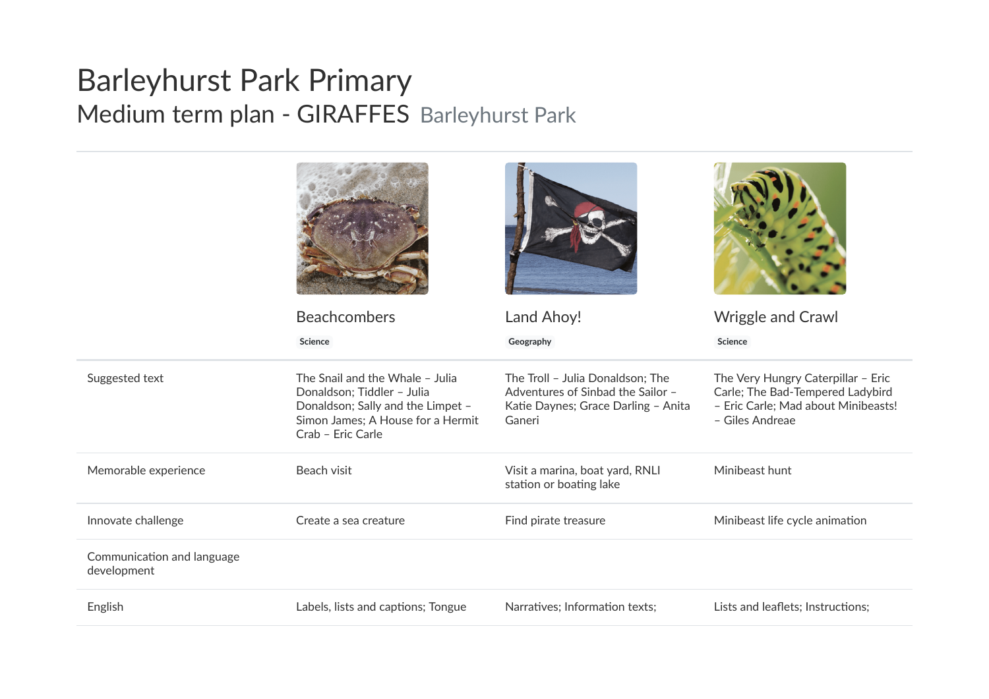## Barleyhurst Park Primary Medium term plan - GIRAFFES Barleyhurst Park

|                                           | <b>Beachcombers</b>                                                                                                                                          | Land Ahoy!                                                                                                             | <b>Wriggle and Crawl</b>                                                                                                         |
|-------------------------------------------|--------------------------------------------------------------------------------------------------------------------------------------------------------------|------------------------------------------------------------------------------------------------------------------------|----------------------------------------------------------------------------------------------------------------------------------|
|                                           | Science                                                                                                                                                      | Geography                                                                                                              | Science                                                                                                                          |
| Suggested text                            | The Snail and the Whale - Julia<br>Donaldson; Tiddler - Julia<br>Donaldson; Sally and the Limpet -<br>Simon James; A House for a Hermit<br>Crab - Eric Carle | The Troll - Julia Donaldson; The<br>Adventures of Sinbad the Sailor -<br>Katie Daynes; Grace Darling - Anita<br>Ganeri | The Very Hungry Caterpillar - Eric<br>Carle; The Bad-Tempered Ladybird<br>- Eric Carle; Mad about Minibeasts!<br>- Giles Andreae |
| Memorable experience                      | Beach visit                                                                                                                                                  | Visit a marina, boat yard, RNLI<br>station or boating lake                                                             | Minibeast hunt                                                                                                                   |
| Innovate challenge                        | Create a sea creature                                                                                                                                        | Find pirate treasure                                                                                                   | Minibeast life cycle animation                                                                                                   |
| Communication and language<br>development |                                                                                                                                                              |                                                                                                                        |                                                                                                                                  |
| English                                   | Labels, lists and captions; Tongue                                                                                                                           | Narratives; Information texts;                                                                                         | Lists and leaflets; Instructions;                                                                                                |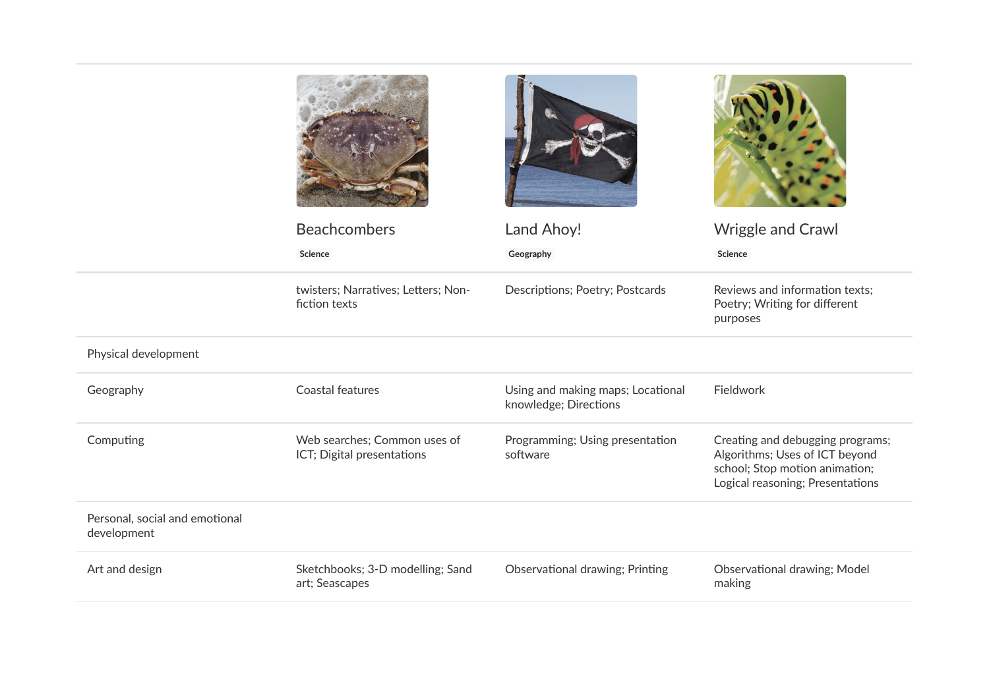|                                               | <b>Beachcombers</b><br>Science                             | Land Ahoy!<br>Geography                                    | <b>Wriggle and Crawl</b><br>Science                                                                                                      |
|-----------------------------------------------|------------------------------------------------------------|------------------------------------------------------------|------------------------------------------------------------------------------------------------------------------------------------------|
|                                               | twisters; Narratives; Letters; Non-<br>fiction texts       | Descriptions; Poetry; Postcards                            | Reviews and information texts;<br>Poetry; Writing for different<br>purposes                                                              |
| Physical development                          |                                                            |                                                            |                                                                                                                                          |
| Geography                                     | Coastal features                                           | Using and making maps; Locational<br>knowledge; Directions | Fieldwork                                                                                                                                |
| Computing                                     | Web searches; Common uses of<br>ICT; Digital presentations | Programming; Using presentation<br>software                | Creating and debugging programs;<br>Algorithms; Uses of ICT beyond<br>school; Stop motion animation;<br>Logical reasoning; Presentations |
| Personal, social and emotional<br>development |                                                            |                                                            |                                                                                                                                          |
| Art and design                                | Sketchbooks; 3-D modelling; Sand<br>art; Seascapes         | Observational drawing; Printing                            | Observational drawing; Model<br>making                                                                                                   |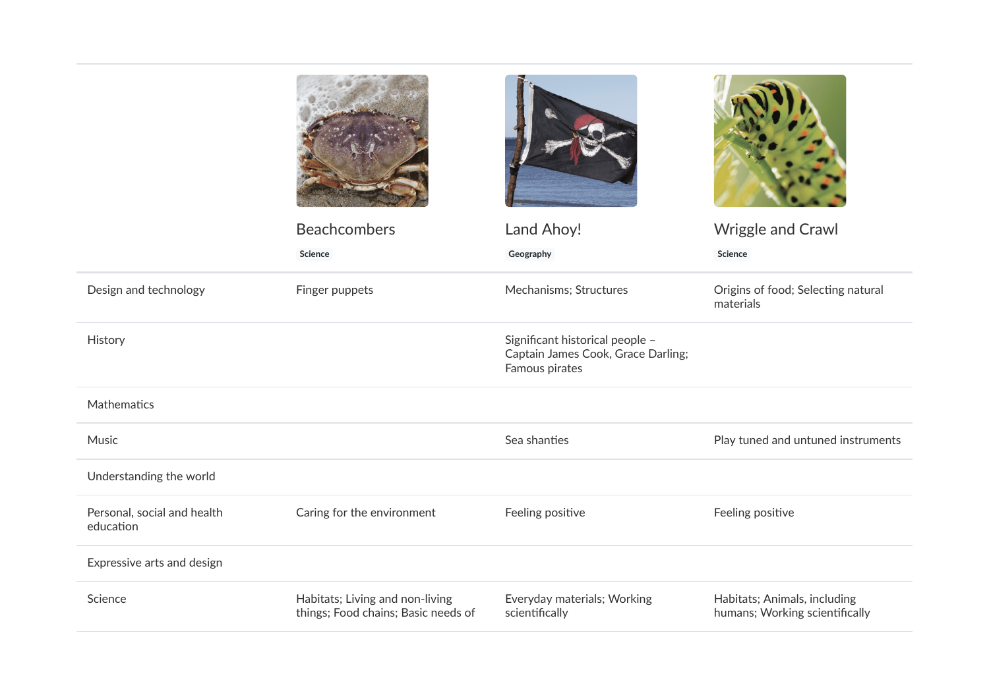| <b>Beachcombers</b>                                                    | Land Ahoy!                                                                              | Wriggle and Crawl                                              |
|------------------------------------------------------------------------|-----------------------------------------------------------------------------------------|----------------------------------------------------------------|
| Science                                                                | Geography                                                                               | Science                                                        |
| Finger puppets                                                         | Mechanisms; Structures                                                                  | Origins of food; Selecting natural<br>materials                |
|                                                                        | Significant historical people -<br>Captain James Cook, Grace Darling;<br>Famous pirates |                                                                |
|                                                                        |                                                                                         |                                                                |
|                                                                        | Sea shanties                                                                            | Play tuned and untuned instruments                             |
|                                                                        |                                                                                         |                                                                |
| Caring for the environment                                             | Feeling positive                                                                        | Feeling positive                                               |
|                                                                        |                                                                                         |                                                                |
| Habitats; Living and non-living<br>things; Food chains; Basic needs of | Everyday materials; Working<br>scientifically                                           | Habitats; Animals, including<br>humans; Working scientifically |
|                                                                        |                                                                                         |                                                                |